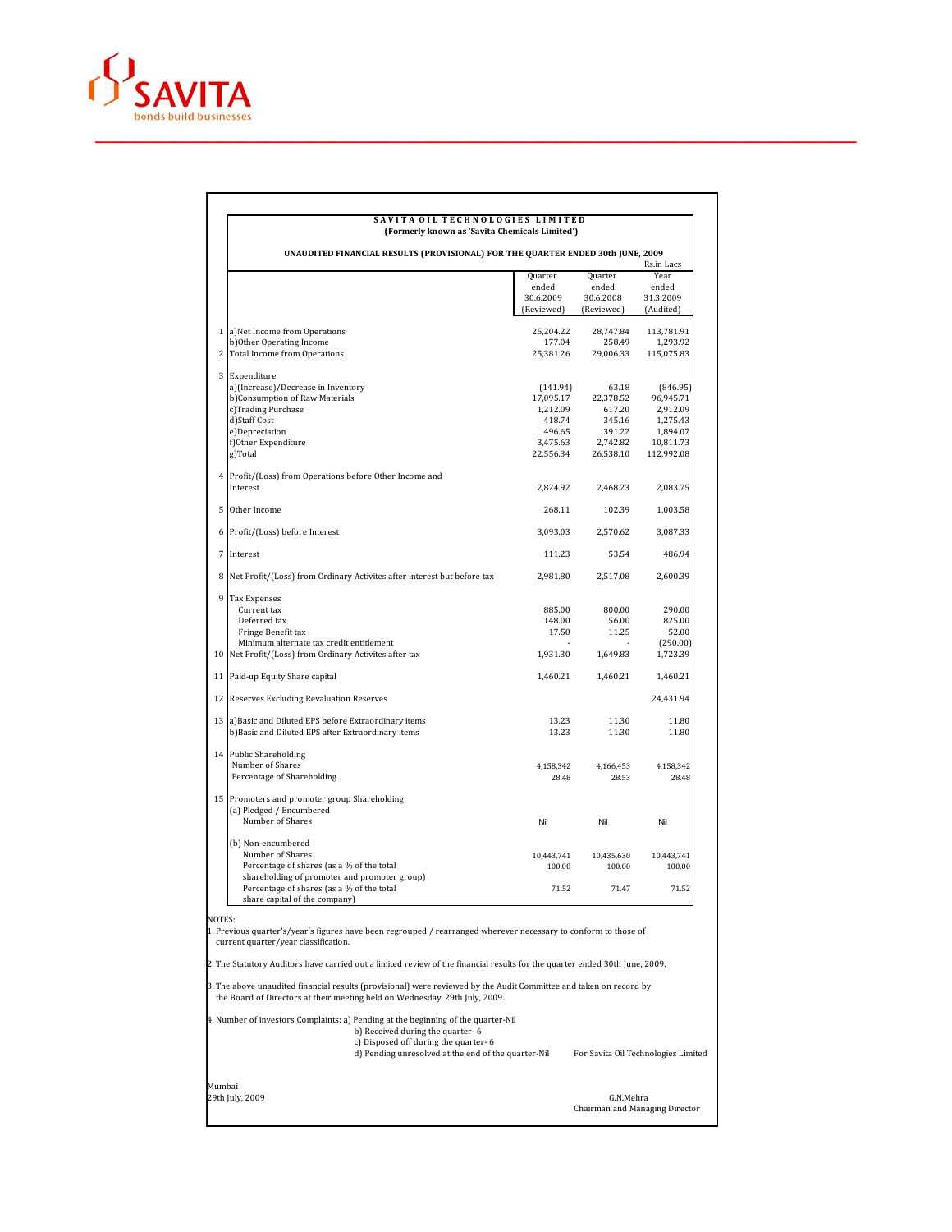

## **S A V I T A O I L T E C H N O L O G I E S L I M I T E D (Formerly known as 'Savita Chemicals Limited')**

| 1 a)Net Income from Operations<br>b) Other Operating Income<br>2 Total Income from Operations<br>a)(Increase)/Decrease in Inventory<br>b)Consumption of Raw Materials<br>c)Trading Purchase<br>e)Depreciation<br>f)Other Expenditure<br>Profit/(Loss) from Operations before Other Income and | 25,204.22<br>177.04<br>25,381.26<br>(141.94)<br>17,095.17<br>1,212.09<br>418.74<br>496.65<br>3,475.63<br>22,556.34                                                                               | 28,747.84<br>258.49<br>29,006.33<br>63.18<br>22,378.52<br>617.20<br>345.16 | 113,781.91<br>1,293.92<br>115,075.83<br>(846.95)<br>96,945.71 |
|-----------------------------------------------------------------------------------------------------------------------------------------------------------------------------------------------------------------------------------------------------------------------------------------------|--------------------------------------------------------------------------------------------------------------------------------------------------------------------------------------------------|----------------------------------------------------------------------------|---------------------------------------------------------------|
|                                                                                                                                                                                                                                                                                               |                                                                                                                                                                                                  |                                                                            |                                                               |
|                                                                                                                                                                                                                                                                                               |                                                                                                                                                                                                  |                                                                            |                                                               |
|                                                                                                                                                                                                                                                                                               |                                                                                                                                                                                                  |                                                                            |                                                               |
|                                                                                                                                                                                                                                                                                               |                                                                                                                                                                                                  |                                                                            |                                                               |
|                                                                                                                                                                                                                                                                                               |                                                                                                                                                                                                  |                                                                            |                                                               |
|                                                                                                                                                                                                                                                                                               |                                                                                                                                                                                                  |                                                                            | 2,912.09                                                      |
|                                                                                                                                                                                                                                                                                               |                                                                                                                                                                                                  |                                                                            | 1,275.43                                                      |
|                                                                                                                                                                                                                                                                                               |                                                                                                                                                                                                  | 391.22                                                                     | 1,894.07                                                      |
|                                                                                                                                                                                                                                                                                               |                                                                                                                                                                                                  | 2,742.82                                                                   | 10.811.73                                                     |
|                                                                                                                                                                                                                                                                                               |                                                                                                                                                                                                  | 26,538.10                                                                  | 112,992.08                                                    |
|                                                                                                                                                                                                                                                                                               |                                                                                                                                                                                                  |                                                                            |                                                               |
|                                                                                                                                                                                                                                                                                               | 2,824.92                                                                                                                                                                                         | 2,468.23                                                                   | 2,083.75                                                      |
| Other Income                                                                                                                                                                                                                                                                                  | 268.11                                                                                                                                                                                           | 102.39                                                                     | 1,003.58                                                      |
| 6 Profit/(Loss) before Interest                                                                                                                                                                                                                                                               | 3,093.03                                                                                                                                                                                         | 2,570.62                                                                   | 3,087.33                                                      |
|                                                                                                                                                                                                                                                                                               | 111.23                                                                                                                                                                                           | 53.54                                                                      | 486.94                                                        |
| 8 Net Profit/(Loss) from Ordinary Activites after interest but before tax                                                                                                                                                                                                                     | 2,981.80                                                                                                                                                                                         | 2,517.08                                                                   | 2,600.39                                                      |
| <b>Tax Expenses</b>                                                                                                                                                                                                                                                                           |                                                                                                                                                                                                  |                                                                            |                                                               |
| Current tax                                                                                                                                                                                                                                                                                   | 885.00                                                                                                                                                                                           | 800.00                                                                     | 290.00                                                        |
| Deferred tax                                                                                                                                                                                                                                                                                  | 148.00                                                                                                                                                                                           | 56.00                                                                      | 825.00                                                        |
| Fringe Benefit tax                                                                                                                                                                                                                                                                            | 17.50                                                                                                                                                                                            | 11.25                                                                      | 52.00                                                         |
| Minimum alternate tax credit entitlement<br>10 Net Profit/(Loss) from Ordinary Activites after tax                                                                                                                                                                                            | 1,931.30                                                                                                                                                                                         | 1,649.83                                                                   | (290.00)<br>1,723.39                                          |
| 11 Paid-up Equity Share capital                                                                                                                                                                                                                                                               | 1,460.21                                                                                                                                                                                         | 1,460.21                                                                   | 1,460.21                                                      |
| 12 Reserves Excluding Revaluation Reserves                                                                                                                                                                                                                                                    |                                                                                                                                                                                                  |                                                                            | 24,431.94                                                     |
|                                                                                                                                                                                                                                                                                               |                                                                                                                                                                                                  |                                                                            |                                                               |
| 13 a) Basic and Diluted EPS before Extraordinary items<br>b)Basic and Diluted EPS after Extraordinary items                                                                                                                                                                                   | 13.23<br>13.23                                                                                                                                                                                   | 11.30<br>11.30                                                             | 11.80<br>11.80                                                |
| 14 Public Shareholding                                                                                                                                                                                                                                                                        |                                                                                                                                                                                                  |                                                                            |                                                               |
| Number of Shares                                                                                                                                                                                                                                                                              | 4,158,342                                                                                                                                                                                        | 4,166,453                                                                  | 4,158,342                                                     |
| Percentage of Shareholding                                                                                                                                                                                                                                                                    | 28.48                                                                                                                                                                                            | 28.53                                                                      | 28.48                                                         |
| 15 Promoters and promoter group Shareholding                                                                                                                                                                                                                                                  |                                                                                                                                                                                                  |                                                                            |                                                               |
|                                                                                                                                                                                                                                                                                               |                                                                                                                                                                                                  |                                                                            | Nil                                                           |
|                                                                                                                                                                                                                                                                                               |                                                                                                                                                                                                  |                                                                            |                                                               |
|                                                                                                                                                                                                                                                                                               |                                                                                                                                                                                                  |                                                                            |                                                               |
| Number of Shares                                                                                                                                                                                                                                                                              | 10,443,741                                                                                                                                                                                       | 10,435,630                                                                 | 10,443,741                                                    |
| Percentage of shares (as a % of the total                                                                                                                                                                                                                                                     | 100.00                                                                                                                                                                                           | 100.00                                                                     | 100.00                                                        |
|                                                                                                                                                                                                                                                                                               |                                                                                                                                                                                                  |                                                                            |                                                               |
|                                                                                                                                                                                                                                                                                               |                                                                                                                                                                                                  |                                                                            | 71.52                                                         |
|                                                                                                                                                                                                                                                                                               | (a) Pledged / Encumbered<br>Number of Shares<br>(b) Non-encumbered<br>shareholding of promoter and promoter group)<br>Percentage of shares (as a % of the total<br>share capital of the company) | Nil<br>71.52                                                               | Nil<br>71.47                                                  |

Mumbai<br>29th July, 2009

29th July, 2009 G.N.Mehra Chairman and Managing Director